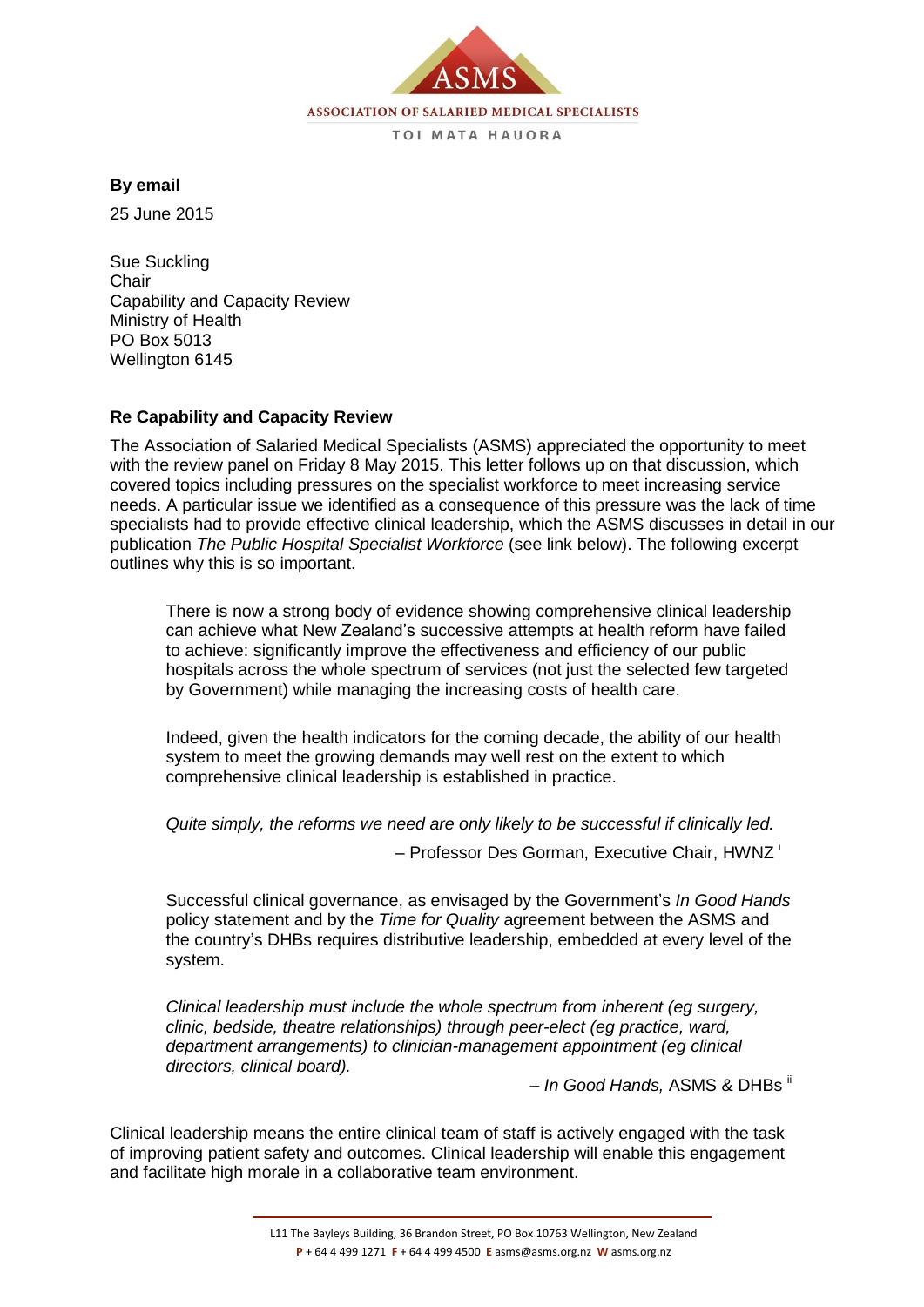

**By email**

25 June 2015

Sue Suckling **Chair** Capability and Capacity Review Ministry of Health PO Box 5013 Wellington 6145

## **Re Capability and Capacity Review**

The Association of Salaried Medical Specialists (ASMS) appreciated the opportunity to meet with the review panel on Friday 8 May 2015. This letter follows up on that discussion, which covered topics including pressures on the specialist workforce to meet increasing service needs. A particular issue we identified as a consequence of this pressure was the lack of time specialists had to provide effective clinical leadership, which the ASMS discusses in detail in our publication *The Public Hospital Specialist Workforce* (see link below). The following excerpt outlines why this is so important.

There is now a strong body of evidence showing comprehensive clinical leadership can achieve what New Zealand's successive attempts at health reform have failed to achieve: significantly improve the effectiveness and efficiency of our public hospitals across the whole spectrum of services (not just the selected few targeted by Government) while managing the increasing costs of health care.

Indeed, given the health indicators for the coming decade, the ability of our health system to meet the growing demands may well rest on the extent to which comprehensive clinical leadership is established in practice.

*Quite simply, the reforms we need are only likely to be successful if clinically led.*

– Professor Des Gorman, Executive Chair, HWNZ <sup>i</sup>

Successful clinical governance, as envisaged by the Government's *In Good Hands* policy statement and by the *Time for Quality* agreement between the ASMS and the country's DHBs requires distributive leadership, embedded at every level of the system.

*Clinical leadership must include the whole spectrum from inherent (eg surgery, clinic, bedside, theatre relationships) through peer-elect (eg practice, ward, department arrangements) to clinician-management appointment (eg clinical directors, clinical board).*

– *In Good Hands,* ASMS & DHBs ii

Clinical leadership means the entire clinical team of staff is actively engaged with the task of improving patient safety and outcomes. Clinical leadership will enable this engagement and facilitate high morale in a collaborative team environment.

L11 The Bayleys Building, 36 Brandon Street, PO Box 10763 Wellington, New Zealand **P** + 64 4 499 1271 **F** + 64 4 499 4500 **E** asms@asms.org.nz **W** asms.org.nz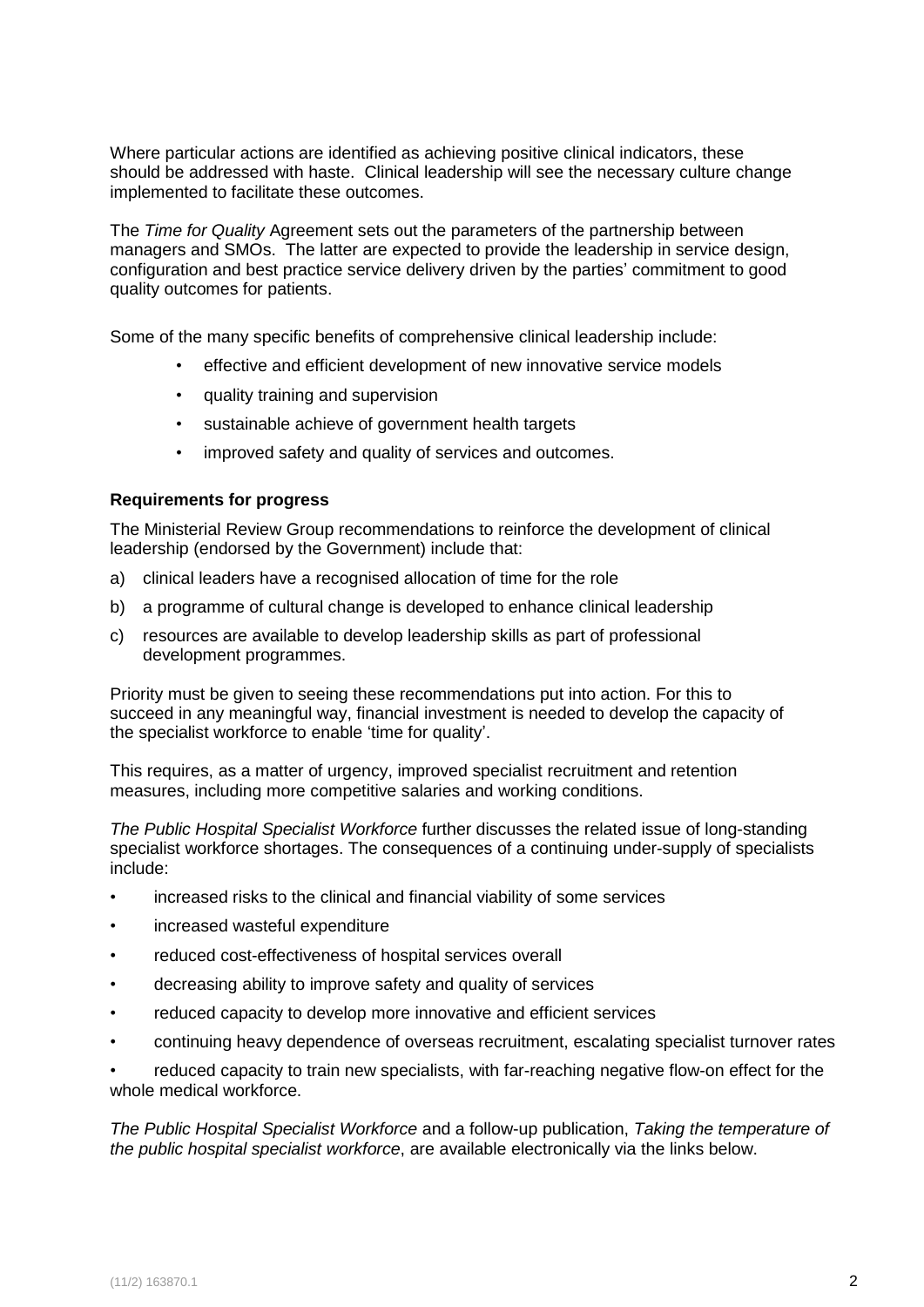Where particular actions are identified as achieving positive clinical indicators, these should be addressed with haste. Clinical leadership will see the necessary culture change implemented to facilitate these outcomes.

The *Time for Quality* Agreement sets out the parameters of the partnership between managers and SMOs. The latter are expected to provide the leadership in service design, configuration and best practice service delivery driven by the parties' commitment to good quality outcomes for patients.

Some of the many specific benefits of comprehensive clinical leadership include:

- effective and efficient development of new innovative service models
- quality training and supervision
- sustainable achieve of government health targets
- improved safety and quality of services and outcomes.

## **Requirements for progress**

The Ministerial Review Group recommendations to reinforce the development of clinical leadership (endorsed by the Government) include that:

- a) clinical leaders have a recognised allocation of time for the role
- b) a programme of cultural change is developed to enhance clinical leadership
- c) resources are available to develop leadership skills as part of professional development programmes.

Priority must be given to seeing these recommendations put into action. For this to succeed in any meaningful way, financial investment is needed to develop the capacity of the specialist workforce to enable 'time for quality'.

This requires, as a matter of urgency, improved specialist recruitment and retention measures, including more competitive salaries and working conditions.

*The Public Hospital Specialist Workforce* further discusses the related issue of long-standing specialist workforce shortages. The consequences of a continuing under-supply of specialists include:

- increased risks to the clinical and financial viability of some services
- increased wasteful expenditure
- reduced cost-effectiveness of hospital services overall
- decreasing ability to improve safety and quality of services
- reduced capacity to develop more innovative and efficient services
- continuing heavy dependence of overseas recruitment, escalating specialist turnover rates

• reduced capacity to train new specialists, with far-reaching negative flow-on effect for the whole medical workforce.

*The Public Hospital Specialist Workforce* and a follow-up publication, *Taking the temperature of the public hospital specialist workforce*, are available electronically via the links below.